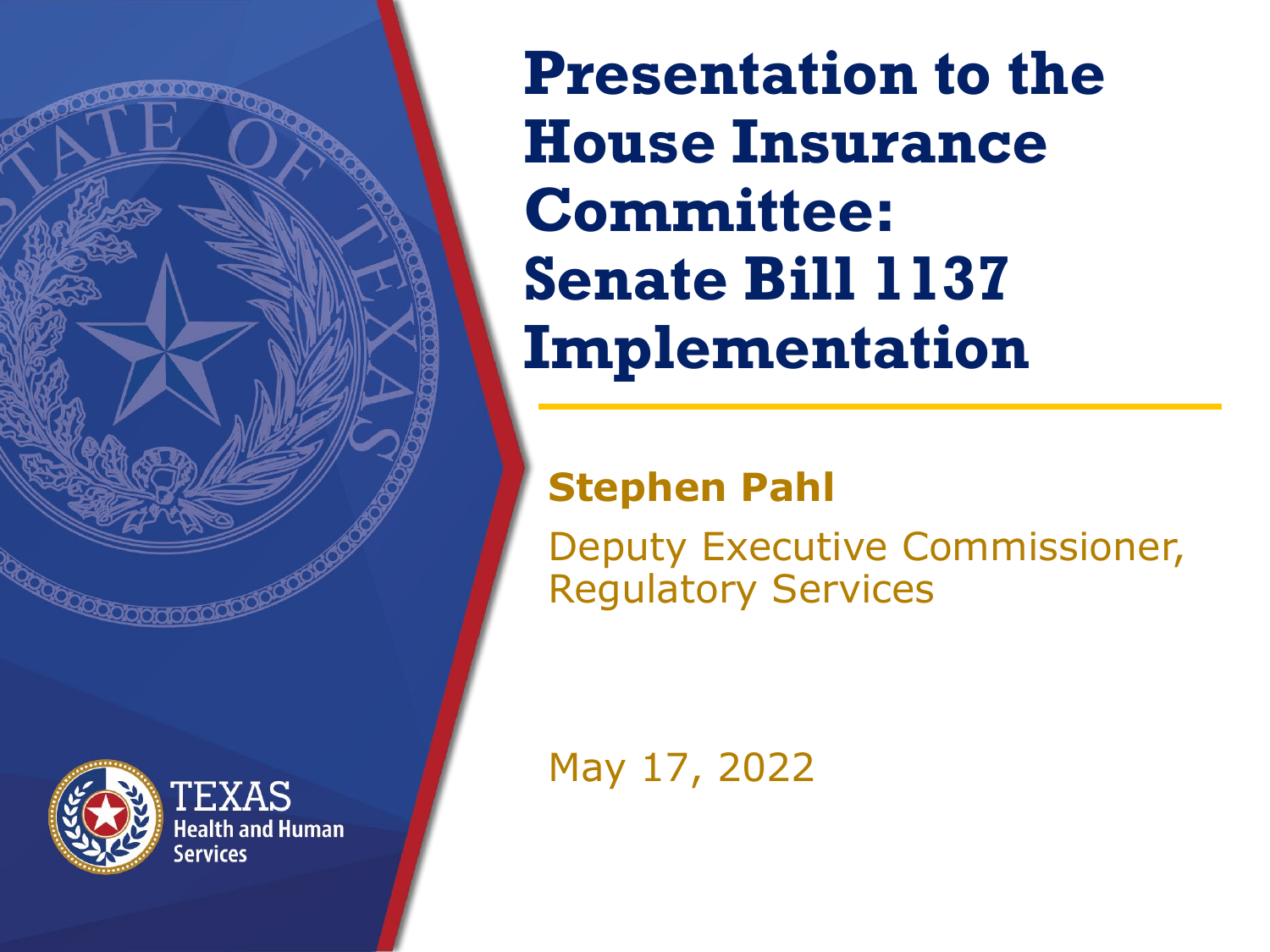**Presentation to the House Insurance Committee: Senate Bill 1137 Implementation**

#### **Stephen Pahl**

Deputy Executive Commissioner, Regulatory Services

May 17, 2022

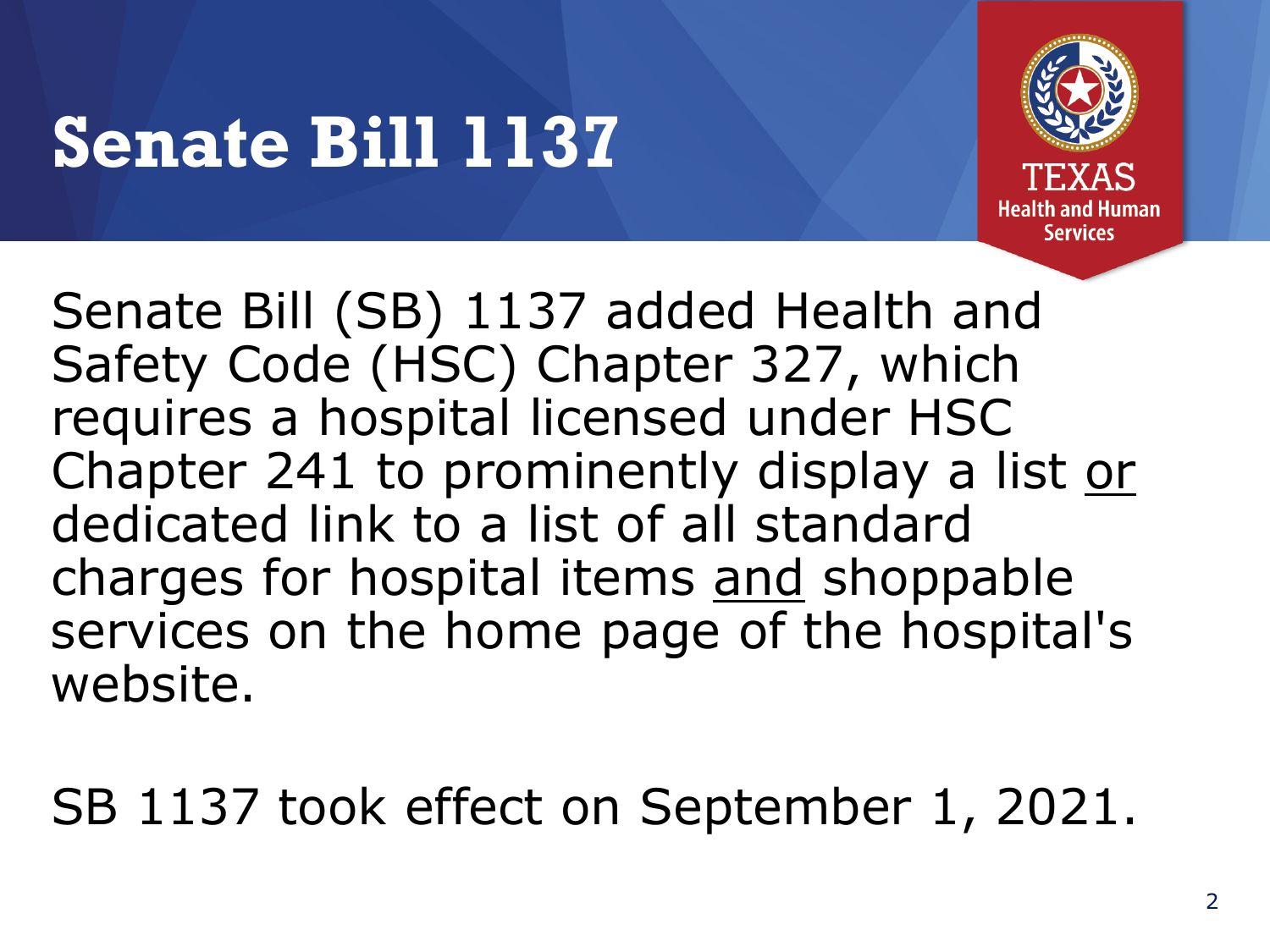# **Senate Bill 1137**



Senate Bill (SB) 1137 added Health and Safety Code (HSC) Chapter 327, which requires a hospital licensed under HSC Chapter 241 to prominently display a list or dedicated link to a list of all standard charges for hospital items and shoppable services on the home page of the hospital's website.

SB 1137 took effect on September 1, 2021.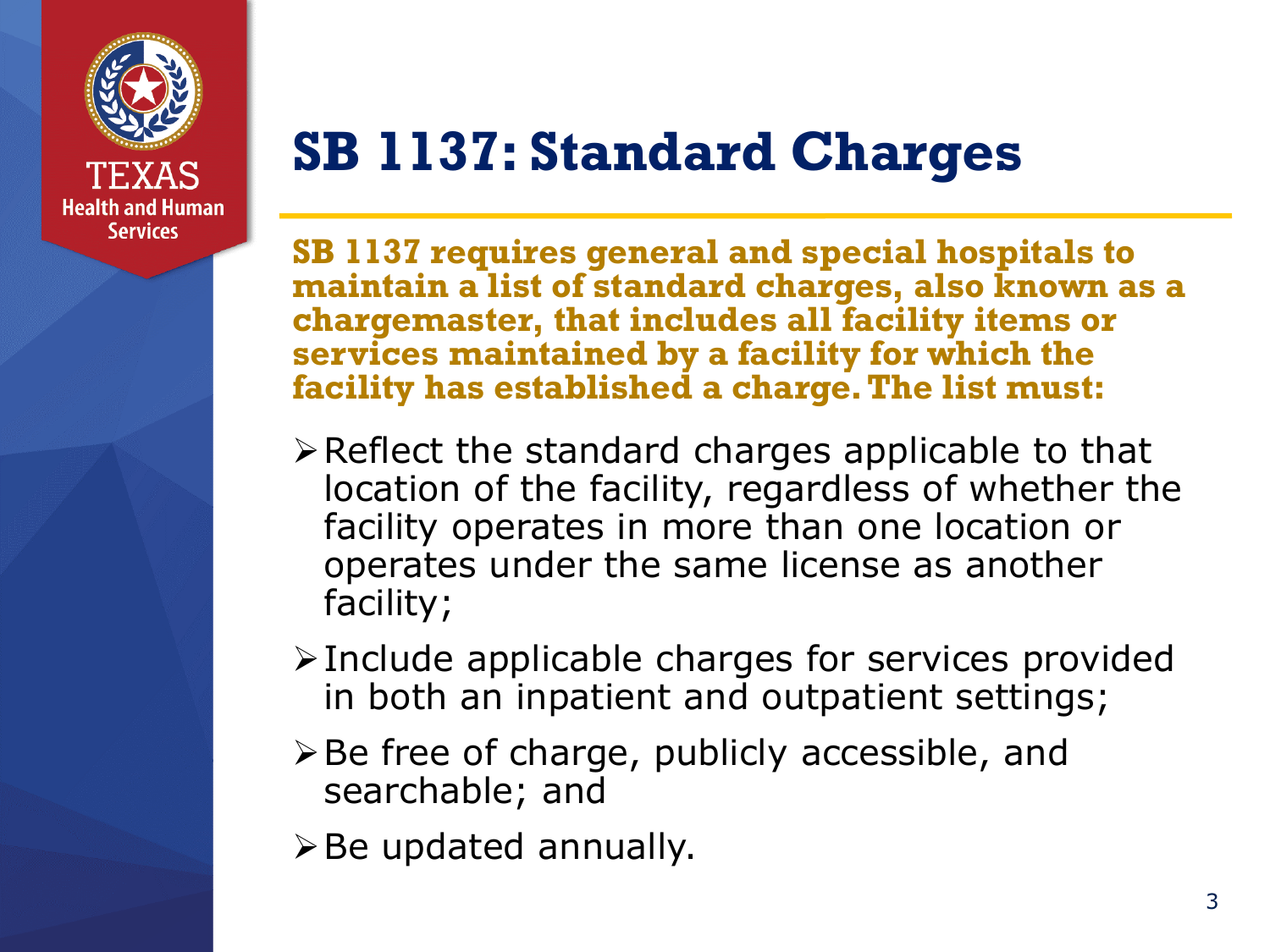

### **SB 1137: Standard Charges**

**SB 1137 requires general and special hospitals to maintain a list of standard charges, also known as a chargemaster, that includes all facility items or services maintained by a facility for which the facility has established a charge. The list must:**

- $\triangleright$  Reflect the standard charges applicable to that location of the facility, regardless of whether the facility operates in more than one location or operates under the same license as another facility;
- $\triangleright$  Include applicable charges for services provided in both an inpatient and outpatient settings;
- $\triangleright$  Be free of charge, publicly accessible, and searchable; and
- $\triangleright$  Be updated annually.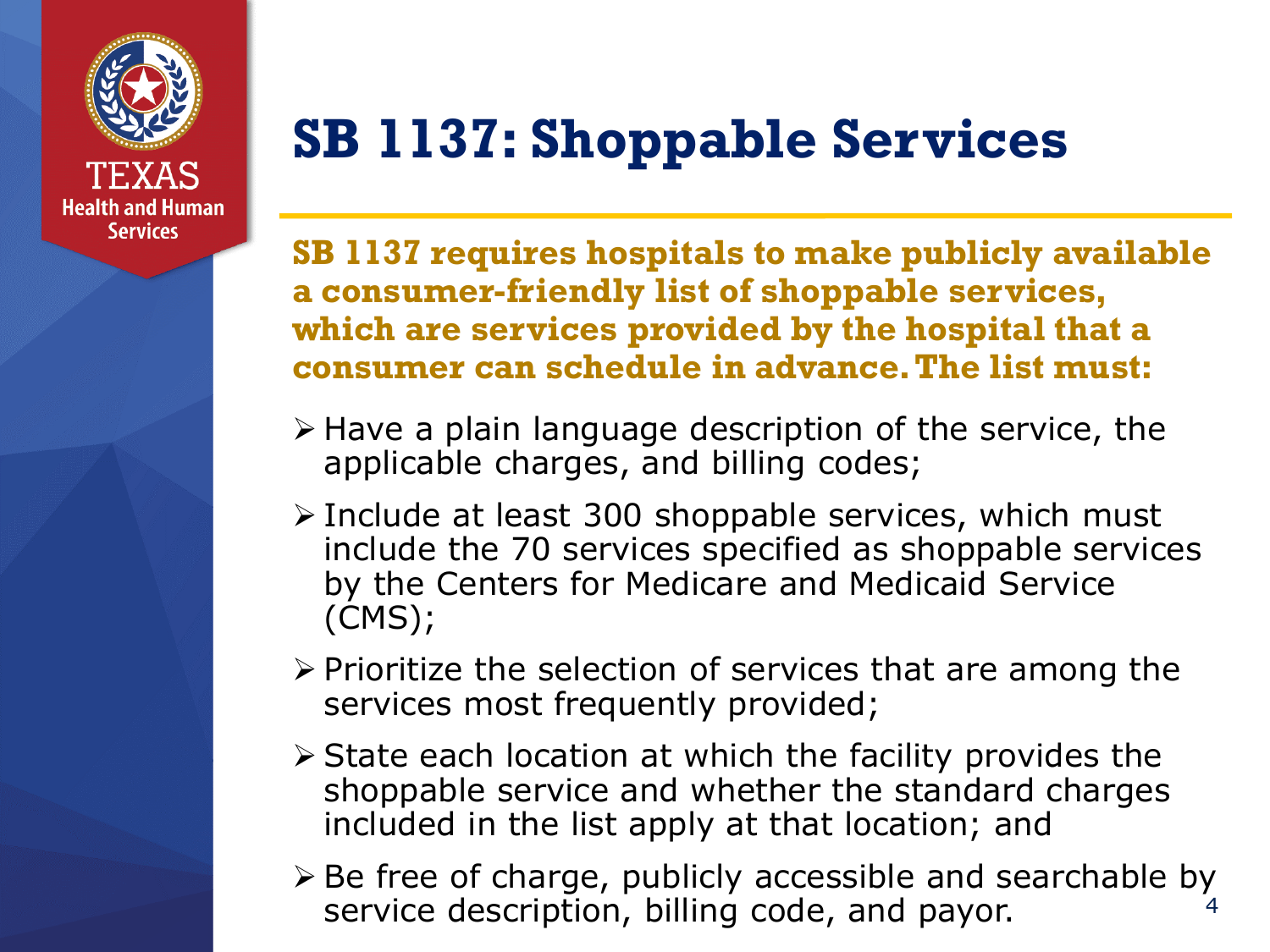

**Services** 

### **SB 1137: Shoppable Services**

**SB 1137 requires hospitals to make publicly available a consumer-friendly list of shoppable services, which are services provided by the hospital that a consumer can schedule in advance. The list must:**

- $\triangleright$  Have a plain language description of the service, the applicable charges, and billing codes;
- $\triangleright$  Include at least 300 shoppable services, which must include the 70 services specified as shoppable services by the Centers for Medicare and Medicaid Service (CMS);
- $\triangleright$  Prioritize the selection of services that are among the services most frequently provided;
- $\triangleright$  State each location at which the facility provides the shoppable service and whether the standard charges included in the list apply at that location; and
- $\triangleright$  Be free of charge, publicly accessible and searchable by service description, billing code, and payor.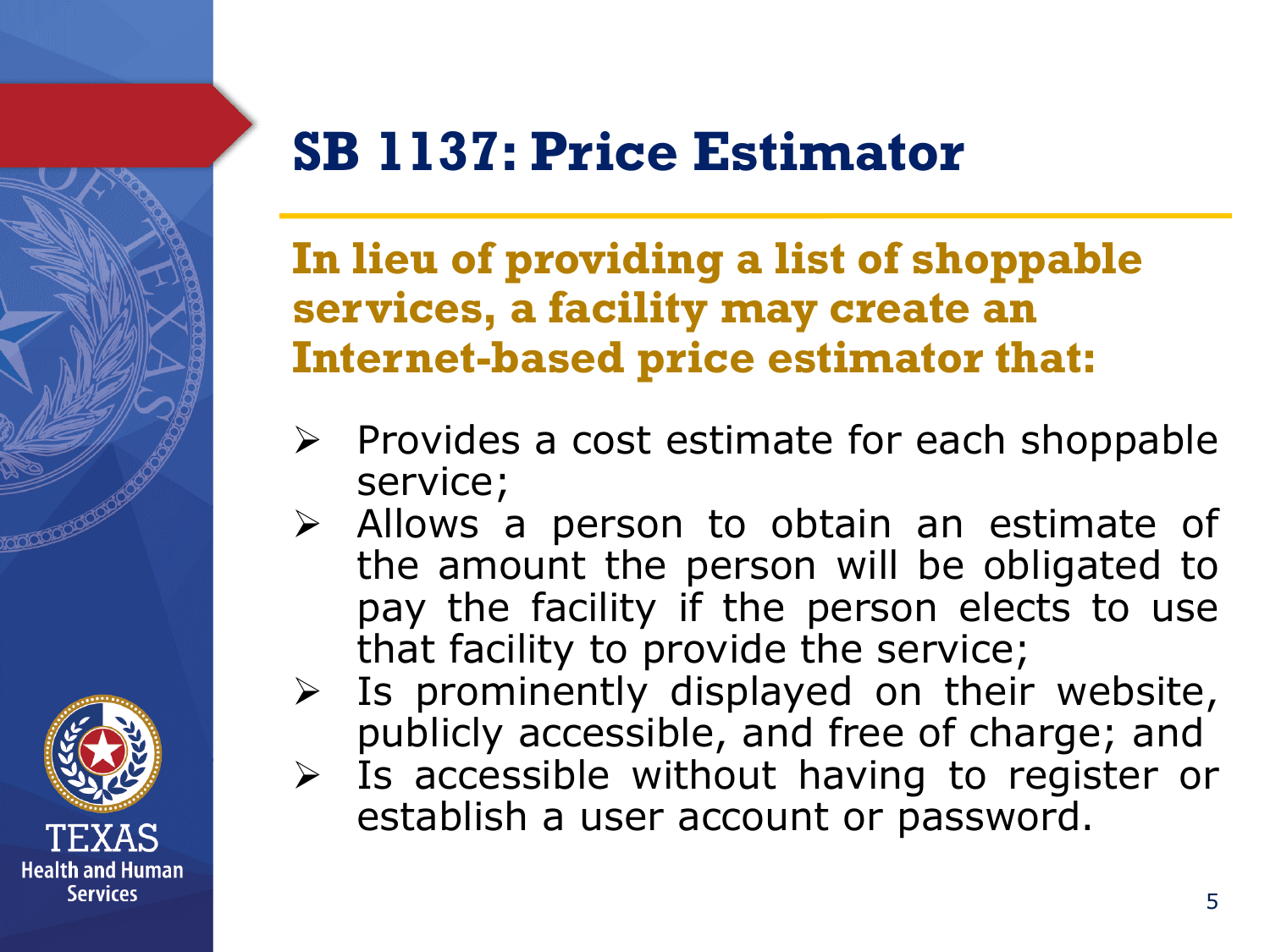

### **SB 1137: Price Estimator**

**In lieu of providing a list of shoppable services, a facility may create an Internet-based price estimator that:**

- $\triangleright$  Provides a cost estimate for each shoppable service;
- $\triangleright$  Allows a person to obtain an estimate of the amount the person will be obligated to pay the facility if the person elects to use that facility to provide the service;
- $\triangleright$  Is prominently displayed on their website, publicly accessible, and free of charge; and
- $\triangleright$  Is accessible without having to register or establish a user account or password.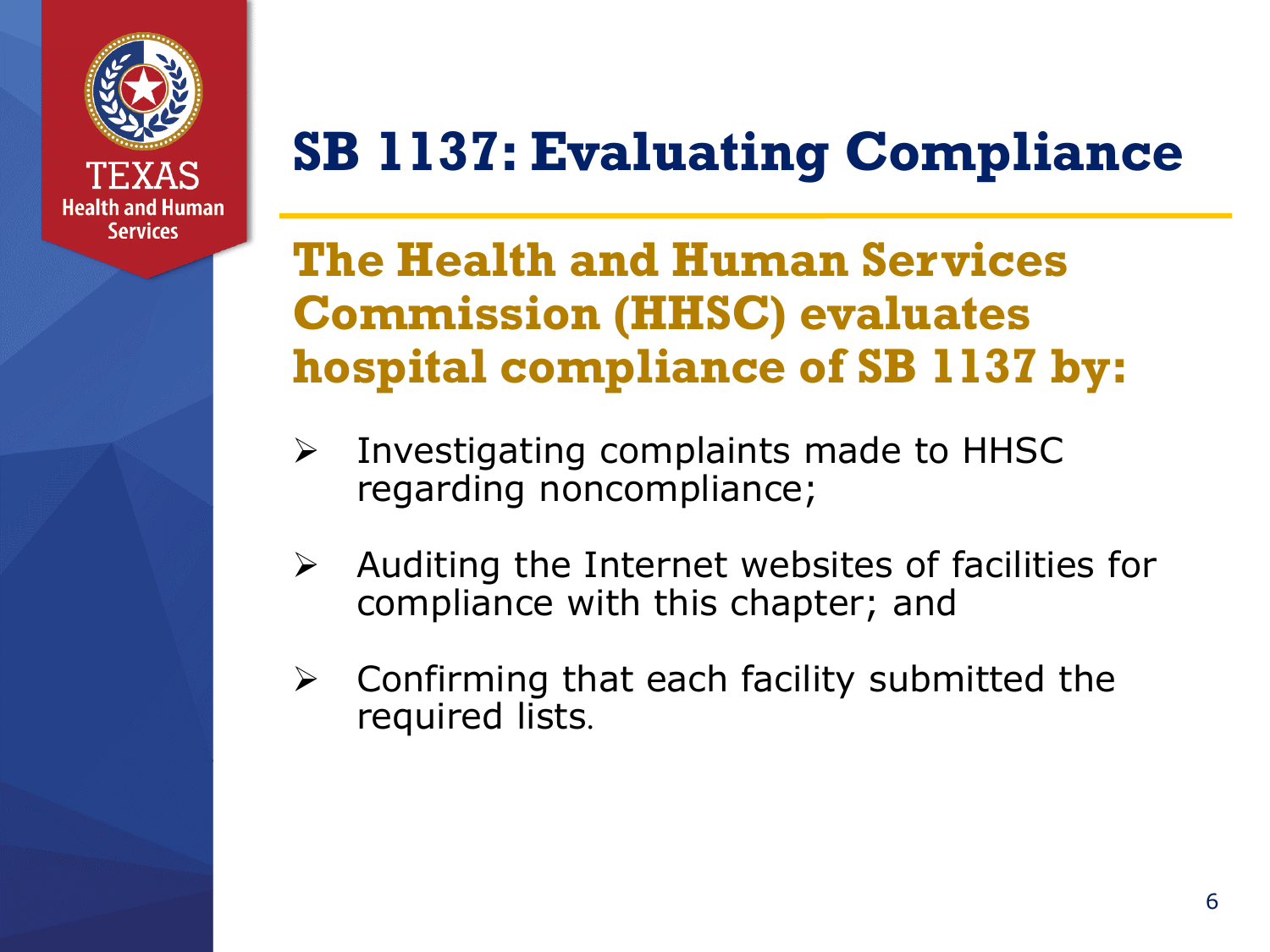

### **SB 1137: Evaluating Compliance**

### **The Health and Human Services Commission (HHSC) evaluates hospital compliance of SB 1137 by:**

- $\triangleright$  Investigating complaints made to HHSC regarding noncompliance;
- $\triangleright$  Auditing the Internet websites of facilities for compliance with this chapter; and
- $\triangleright$  Confirming that each facility submitted the required lists.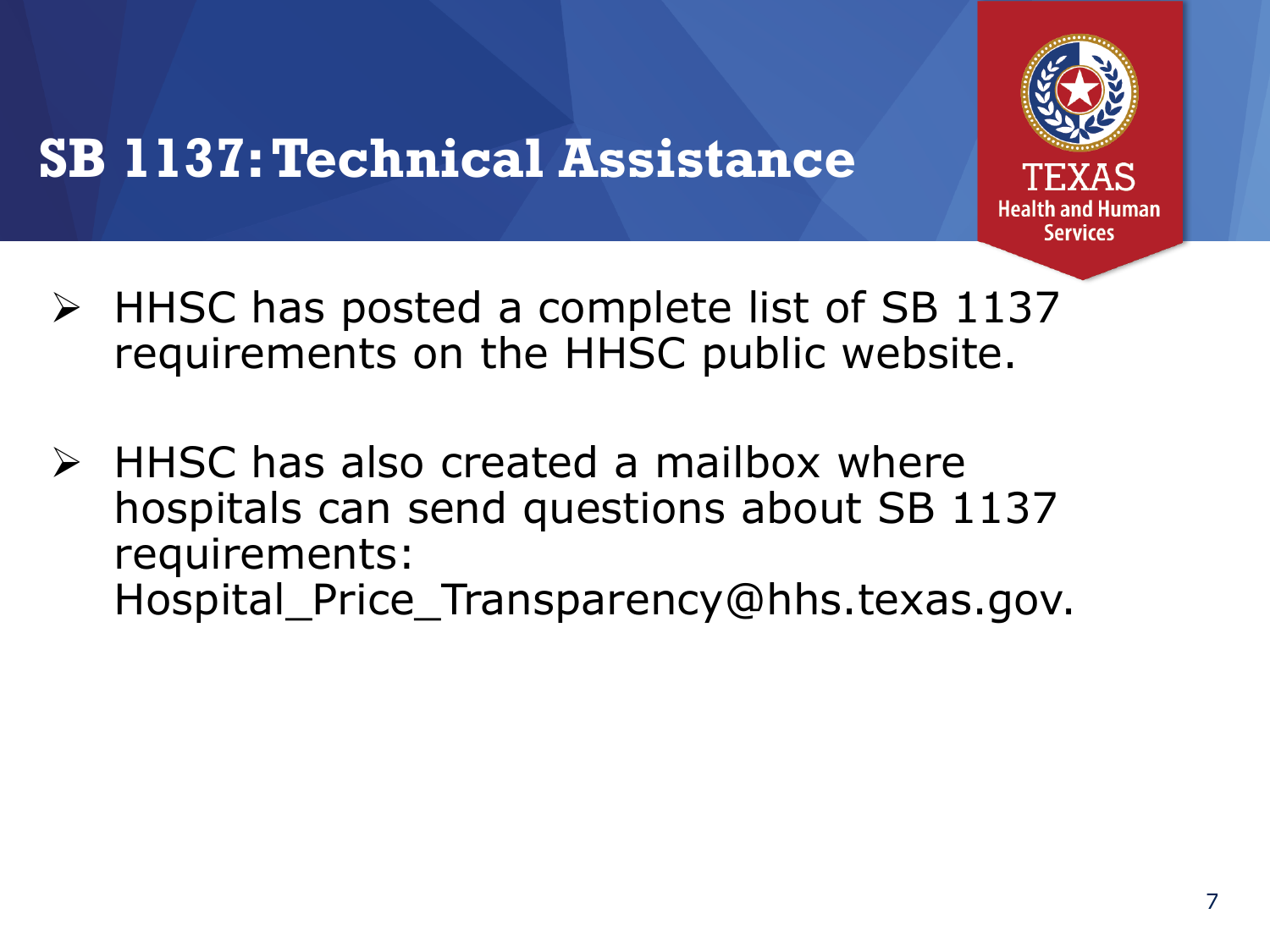

### **SB 1137: Technical Assistance**

- $\triangleright$  HHSC has posted a complete list of SB 1137 requirements on the HHSC public website.
- $\triangleright$  HHSC has also created a mailbox where hospitals can send questions about SB 1137 requirements: Hospital\_Price\_Transparency@hhs.texas.gov.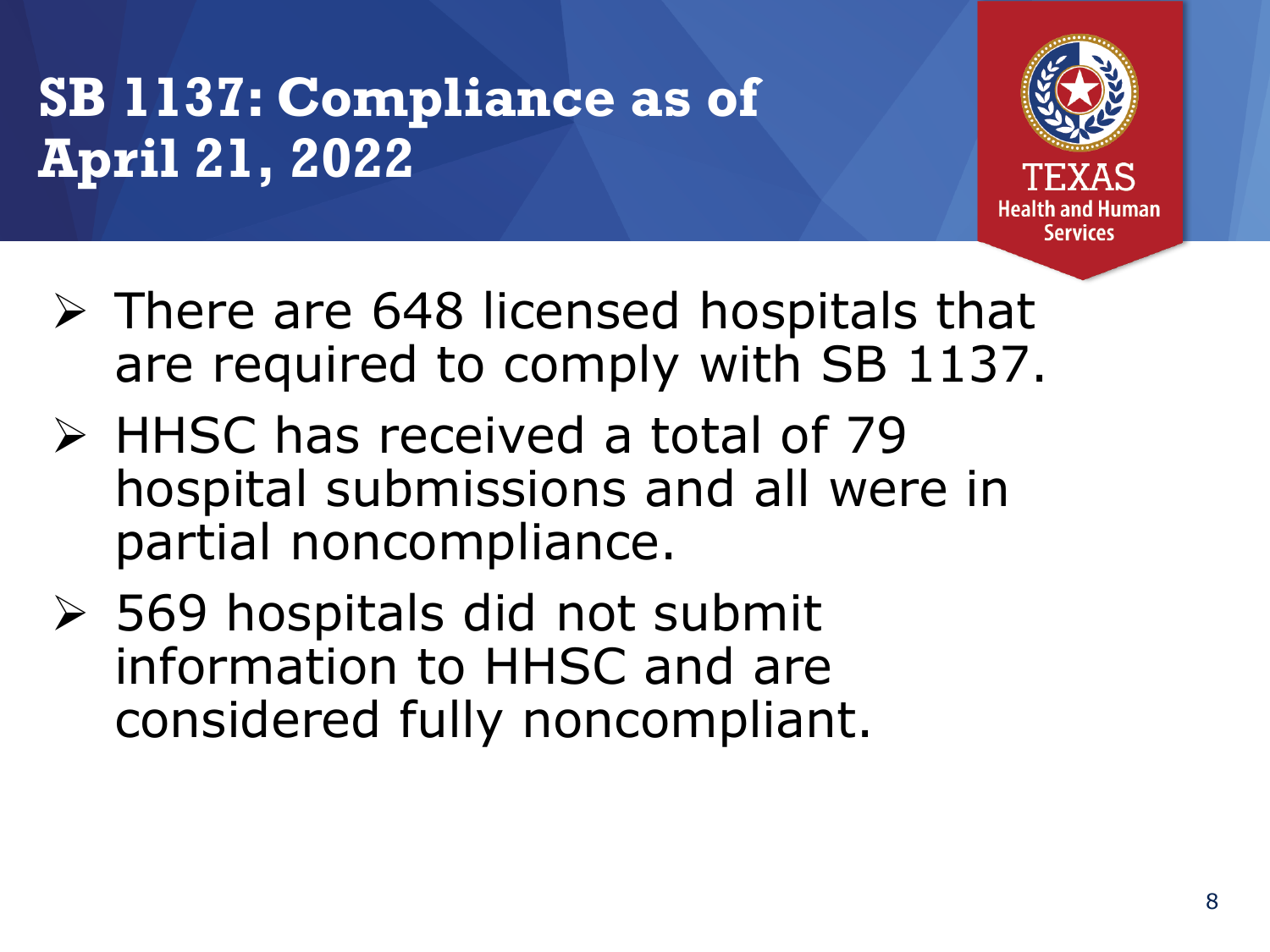### **SB 1137: Compliance as of April 21, 2022**



- $\triangleright$  There are 648 licensed hospitals that are required to comply with SB 1137.
- HHSC has received a total of 79 hospital submissions and all were in partial noncompliance.
- 569 hospitals did not submit information to HHSC and are considered fully noncompliant.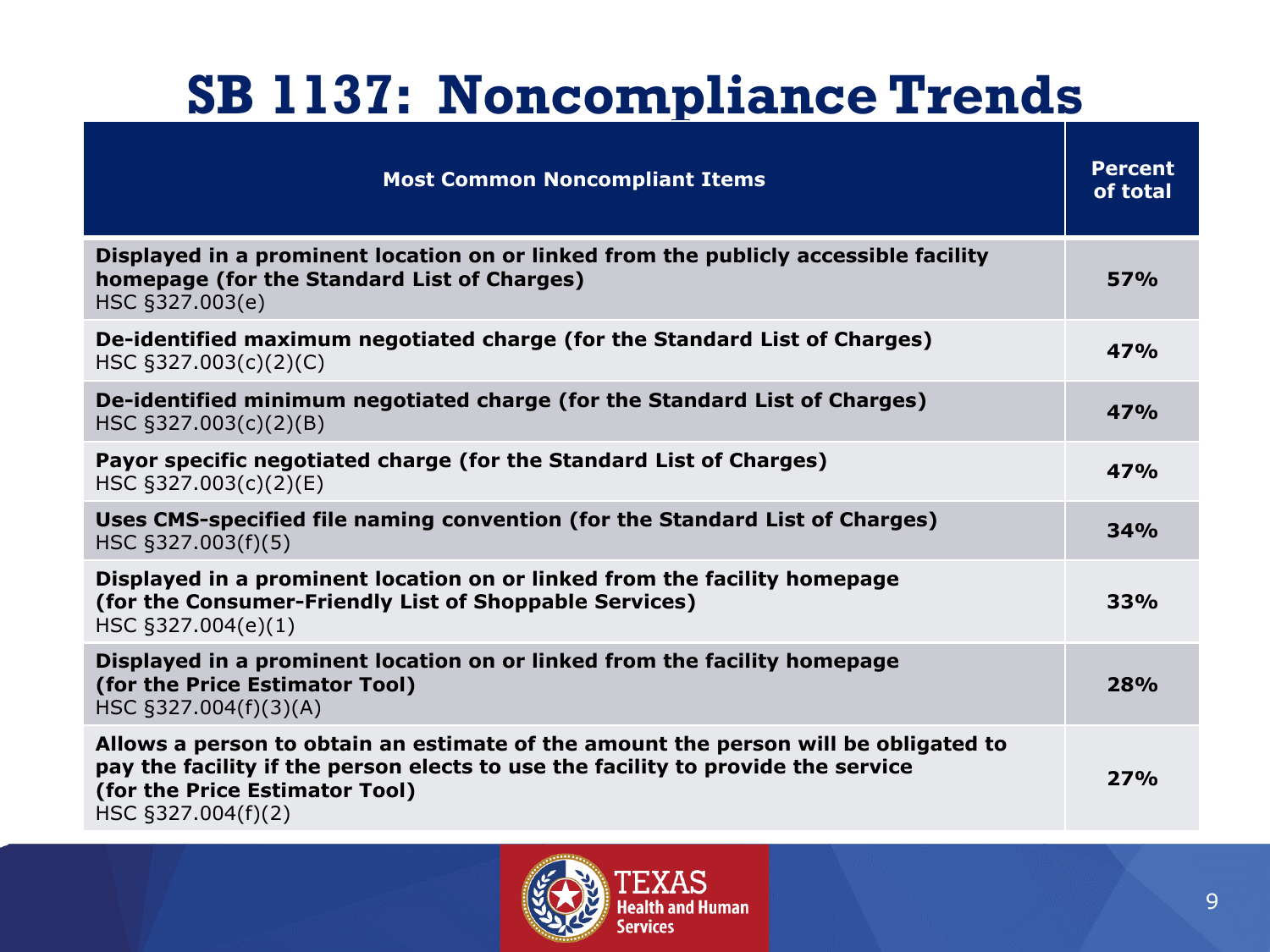## **SB 1137: Noncompliance Trends**

| <b>Most Common Noncompliant Items</b>                                                                                                                                                                                           | <b>Percent</b><br>of total |
|---------------------------------------------------------------------------------------------------------------------------------------------------------------------------------------------------------------------------------|----------------------------|
| Displayed in a prominent location on or linked from the publicly accessible facility<br>homepage (for the Standard List of Charges)<br>HSC §327.003(e)                                                                          | 57%                        |
| De-identified maximum negotiated charge (for the Standard List of Charges)<br>HSC §327.003(c)(2)(C)                                                                                                                             | 47%                        |
| De-identified minimum negotiated charge (for the Standard List of Charges)<br>HSC §327.003(c)(2)(B)                                                                                                                             | 47%                        |
| Payor specific negotiated charge (for the Standard List of Charges)<br>HSC §327.003(c)(2)(E)                                                                                                                                    | 47%                        |
| Uses CMS-specified file naming convention (for the Standard List of Charges)<br>HSC §327.003(f)(5)                                                                                                                              | 34%                        |
| Displayed in a prominent location on or linked from the facility homepage<br>(for the Consumer-Friendly List of Shoppable Services)<br>HSC §327.004(e)(1)                                                                       | 33%                        |
| Displayed in a prominent location on or linked from the facility homepage<br>(for the Price Estimator Tool)<br>HSC §327.004(f)(3)(A)                                                                                            | 28%                        |
| Allows a person to obtain an estimate of the amount the person will be obligated to<br>pay the facility if the person elects to use the facility to provide the service<br>(for the Price Estimator Tool)<br>HSC §327.004(f)(2) | 27%                        |

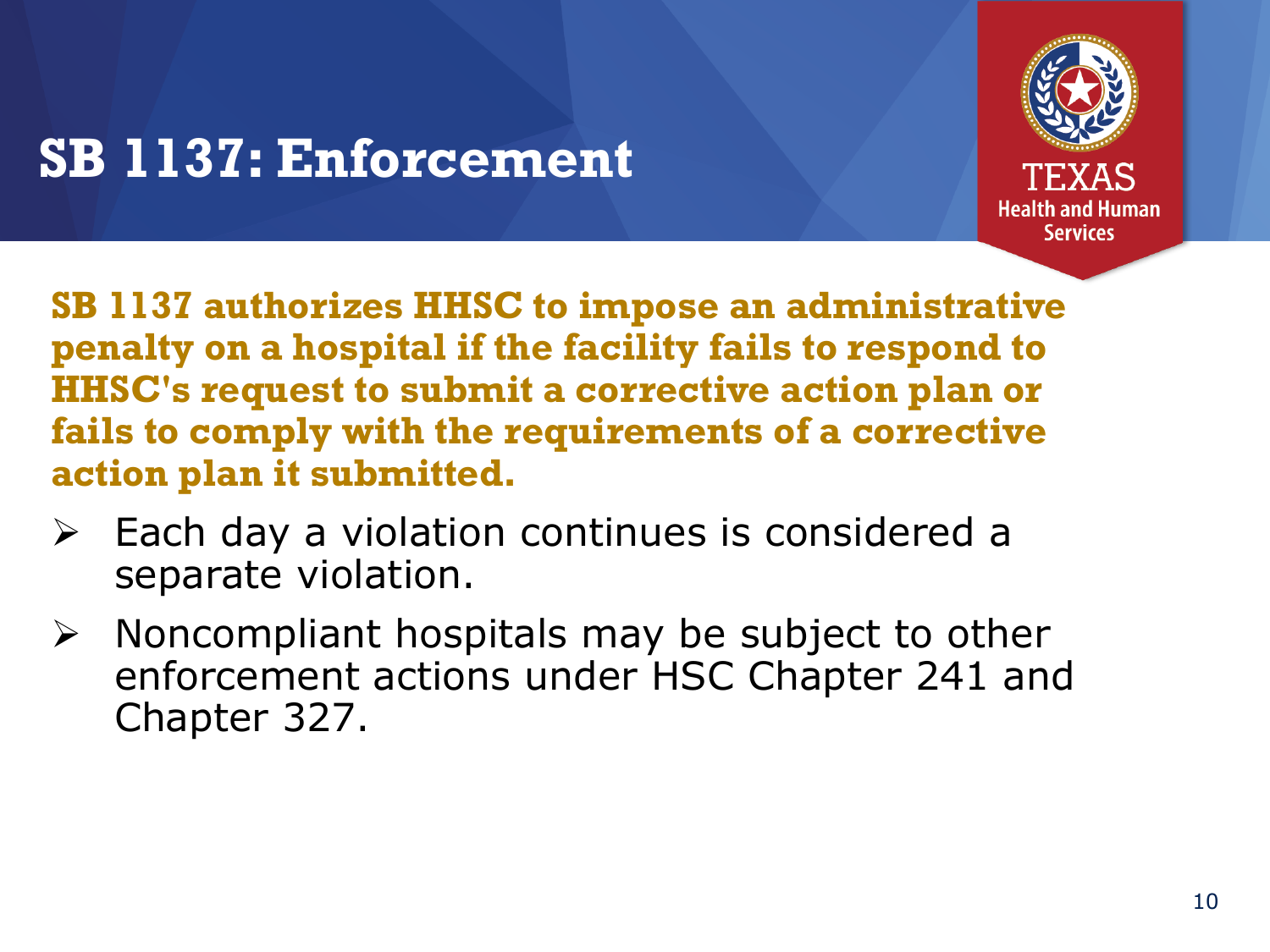

### **SB 1137: Enforcement**

**SB 1137 authorizes HHSC to impose an administrative penalty on a hospital if the facility fails to respond to HHSC's request to submit a corrective action plan or fails to comply with the requirements of a corrective action plan it submitted.** 

- $\triangleright$  Each day a violation continues is considered a separate violation.
- $\triangleright$  Noncompliant hospitals may be subject to other enforcement actions under HSC Chapter 241 and Chapter 327.